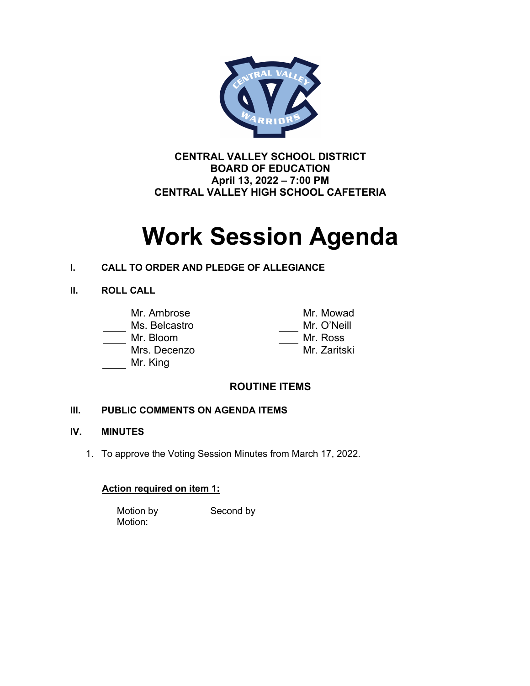

**CENTRAL VALLEY SCHOOL DISTRICT BOARD OF EDUCATION April 13, 2022 – 7:00 PM CENTRAL VALLEY HIGH SCHOOL CAFETERIA**

# **Work Session Agenda**

# **I. CALL TO ORDER AND PLEDGE OF ALLEGIANCE**

### **II. ROLL CALL**

# Mr. Ambrose Mr. Mowad

### Ms. Belcastro

Mr. Bloom

Mrs. Decenzo

Mr. King

| IVII. IVIU VVCIU |
|------------------|
| Mr. O'Neill      |
| Mr. Ross         |
| Mr. Zaritski     |
|                  |

# **ROUTINE ITEMS**

# **III. PUBLIC COMMENTS ON AGENDA ITEMS**

### **IV. MINUTES**

1. To approve the Voting Session Minutes from March 17, 2022.

# **Action required on item 1:**

Motion by Second by Motion: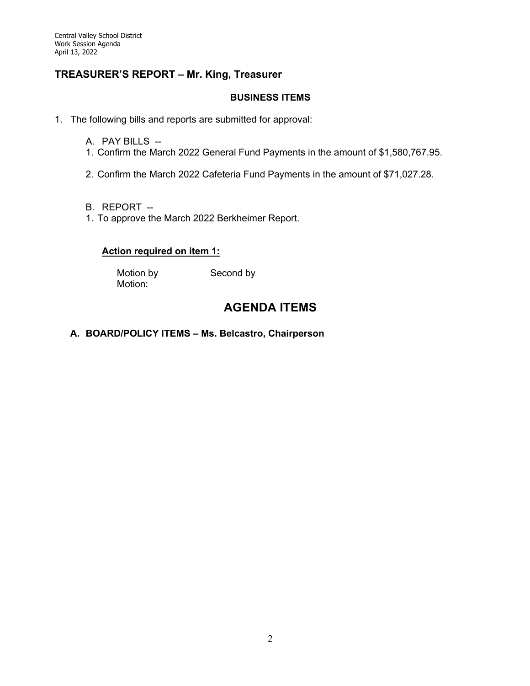### **TREASURER'S REPORT – Mr. King, Treasurer**

### **BUSINESS ITEMS**

- 1. The following bills and reports are submitted for approval:
	- A. PAY BILLS --
	- 1. Confirm the March 2022 General Fund Payments in the amount of \$1,580,767.95.
	- 2. Confirm the March 2022 Cafeteria Fund Payments in the amount of \$71,027.28.
	- B. REPORT --
	- 1. To approve the March 2022 Berkheimer Report.

### **Action required on item 1:**

Motion by Second by Motion:

# **AGENDA ITEMS**

### **A. BOARD/POLICY ITEMS – Ms. Belcastro, Chairperson**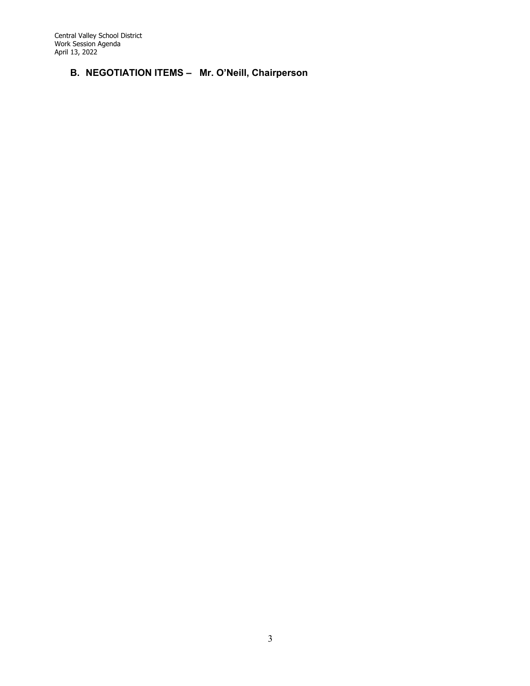Central Valley School District Work Session Agenda April 13, 2022

# **B. NEGOTIATION ITEMS – Mr. O'Neill, Chairperson**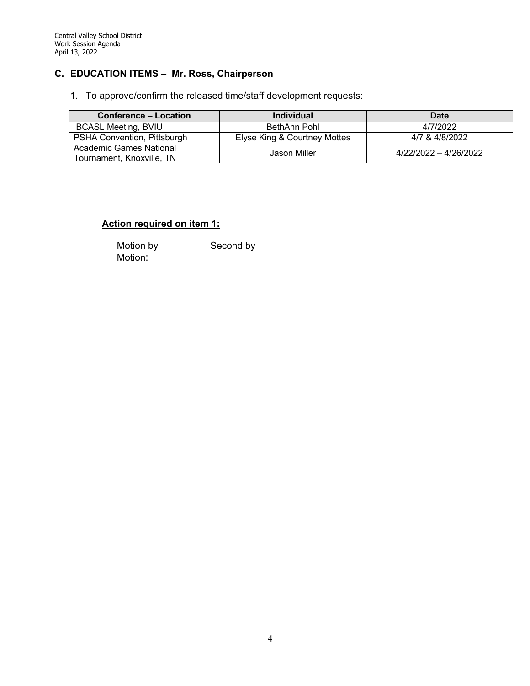### **C. EDUCATION ITEMS – Mr. Ross, Chairperson**

1. To approve/confirm the released time/staff development requests:

| <b>Conference – Location</b>                         | <b>Individual</b>            | Date                  |
|------------------------------------------------------|------------------------------|-----------------------|
| <b>BCASL Meeting, BVIU</b>                           | BethAnn Pohl                 | 4/7/2022              |
| PSHA Convention, Pittsburgh                          | Elyse King & Courtney Mottes | 4/7 & 4/8/2022        |
| Academic Games National<br>Tournament, Knoxville, TN | Jason Miller                 | 4/22/2022 - 4/26/2022 |

### **Action required on item 1:**

Motion by Second by Motion: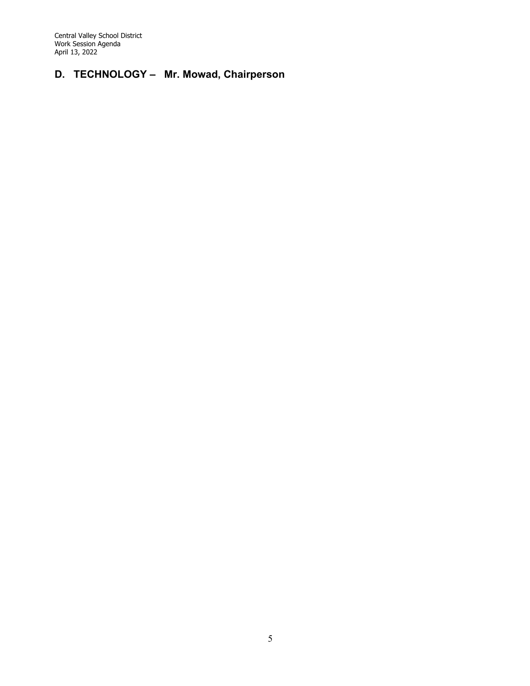Central Valley School District Work Session Agenda April 13, 2022

# **D. TECHNOLOGY – Mr. Mowad, Chairperson**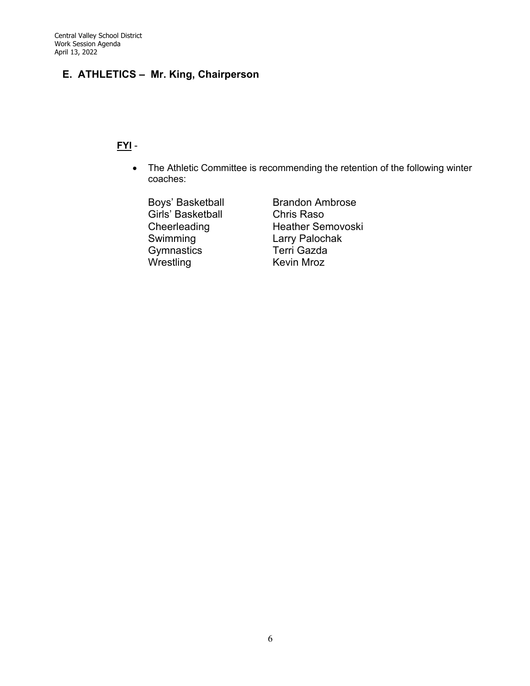# **E. ATHLETICS – Mr. King, Chairperson**

## **FYI** -

• The Athletic Committee is recommending the retention of the following winter coaches:

Girls' Basketball Chris Raso<br>Cheerleading Heather Sei Gymnastics Terri Gazda

Boys' Basketball Brandon Ambrose Cheerleading Heather Semovoski<br>
Swimming Larry Palochak Larry Palochak Kevin Mroz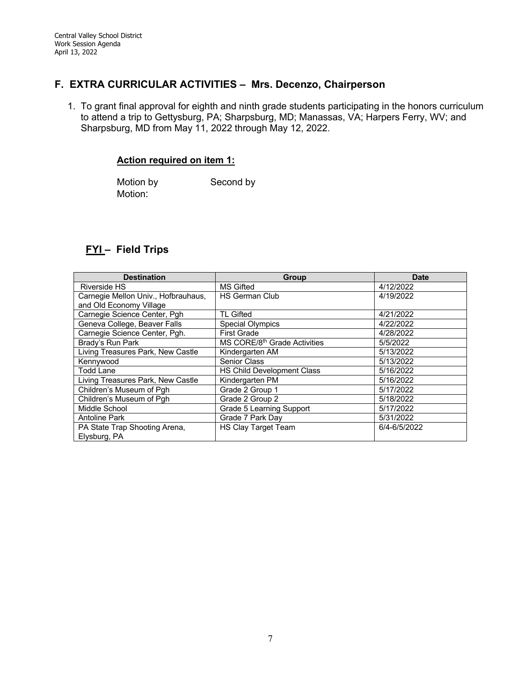### **F. EXTRA CURRICULAR ACTIVITIES – Mrs. Decenzo, Chairperson**

1. To grant final approval for eighth and ninth grade students participating in the honors curriculum to attend a trip to Gettysburg, PA; Sharpsburg, MD; Manassas, VA; Harpers Ferry, WV; and Sharpsburg, MD from May 11, 2022 through May 12, 2022.

#### **Action required on item 1:**

Motion by Second by Motion:

# **FYI – Field Trips**

| <b>Destination</b>                  | Group                                    | <b>Date</b>  |
|-------------------------------------|------------------------------------------|--------------|
| <b>Riverside HS</b>                 | <b>MS Gifted</b>                         | 4/12/2022    |
| Carnegie Mellon Univ., Hofbrauhaus, | <b>HS German Club</b>                    | 4/19/2022    |
| and Old Economy Village             |                                          |              |
| Carnegie Science Center, Pgh        | <b>TL Gifted</b>                         | 4/21/2022    |
| Geneva College, Beaver Falls        | <b>Special Olympics</b>                  | 4/22/2022    |
| Carnegie Science Center, Pgh.       | <b>First Grade</b>                       | 4/28/2022    |
| Brady's Run Park                    | MS CORE/8 <sup>th</sup> Grade Activities | 5/5/2022     |
| Living Treasures Park, New Castle   | Kindergarten AM                          | 5/13/2022    |
| Kennywood                           | Senior Class                             | 5/13/2022    |
| <b>Todd Lane</b>                    | HS Child Development Class               | 5/16/2022    |
| Living Treasures Park, New Castle   | Kindergarten PM                          | 5/16/2022    |
| Children's Museum of Pgh            | Grade 2 Group 1                          | 5/17/2022    |
| Children's Museum of Pgh            | Grade 2 Group 2                          | 5/18/2022    |
| Middle School                       | Grade 5 Learning Support                 | 5/17/2022    |
| <b>Antoline Park</b>                | Grade 7 Park Day                         | 5/31/2022    |
| PA State Trap Shooting Arena,       | HS Clay Target Team                      | 6/4-6/5/2022 |
| Elysburg, PA                        |                                          |              |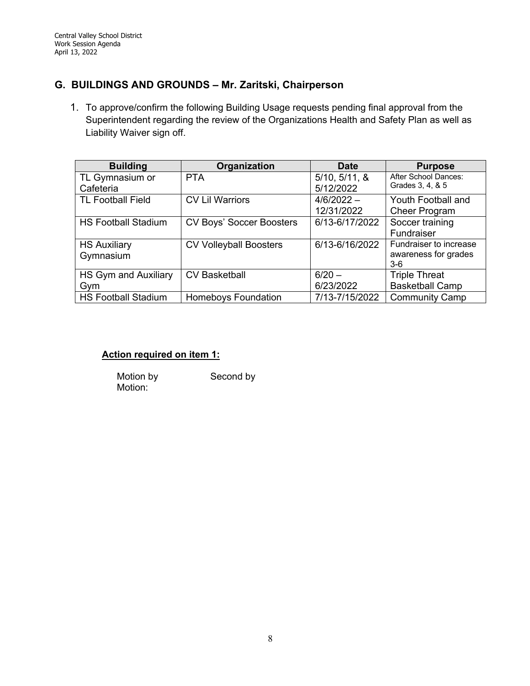# **G. BUILDINGS AND GROUNDS – Mr. Zaritski, Chairperson**

1. To approve/confirm the following Building Usage requests pending final approval from the Superintendent regarding the review of the Organizations Health and Safety Plan as well as Liability Waiver sign off.

| <b>Building</b>            | Organization                  | <b>Date</b>    | <b>Purpose</b>         |
|----------------------------|-------------------------------|----------------|------------------------|
| TL Gymnasium or            | <b>PTA</b>                    | 5/10, 5/11, 8  | After School Dances:   |
| Cafeteria                  |                               | 5/12/2022      | Grades 3, 4, & 5       |
| <b>TL Football Field</b>   | <b>CV Lil Warriors</b>        | $4/6/2022 -$   | Youth Football and     |
|                            |                               | 12/31/2022     | <b>Cheer Program</b>   |
| <b>HS Football Stadium</b> | CV Boys' Soccer Boosters      | 6/13-6/17/2022 | Soccer training        |
|                            |                               |                | Fundraiser             |
| <b>HS Auxiliary</b>        | <b>CV Volleyball Boosters</b> | 6/13-6/16/2022 | Fundraiser to increase |
| Gymnasium                  |                               |                | awareness for grades   |
|                            |                               |                | $3-6$                  |
| HS Gym and Auxiliary       | <b>CV Basketball</b>          | $6/20 -$       | <b>Triple Threat</b>   |
| Gym                        |                               | 6/23/2022      | <b>Basketball Camp</b> |
| <b>HS Football Stadium</b> | <b>Homeboys Foundation</b>    | 7/13-7/15/2022 | <b>Community Camp</b>  |

### **Action required on item 1:**

Motion by Second by Motion: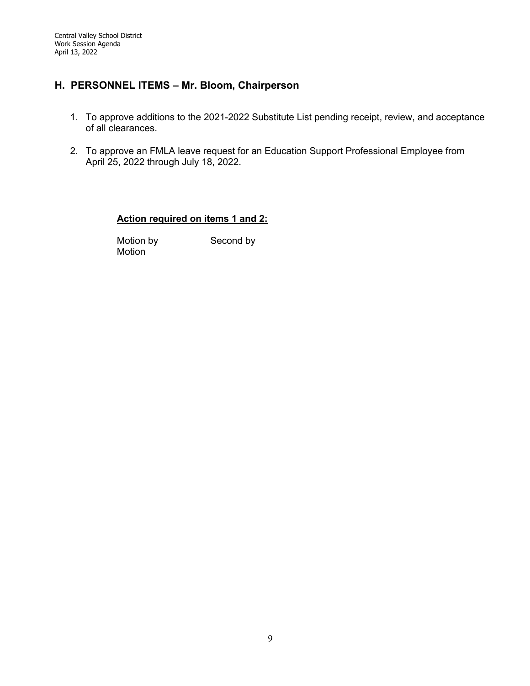# **H. PERSONNEL ITEMS – Mr. Bloom, Chairperson**

- 1. To approve additions to the 2021-2022 Substitute List pending receipt, review, and acceptance of all clearances.
- 2. To approve an FMLA leave request for an Education Support Professional Employee from April 25, 2022 through July 18, 2022.

#### **Action required on items 1 and 2:**

Motion by Second by Motion